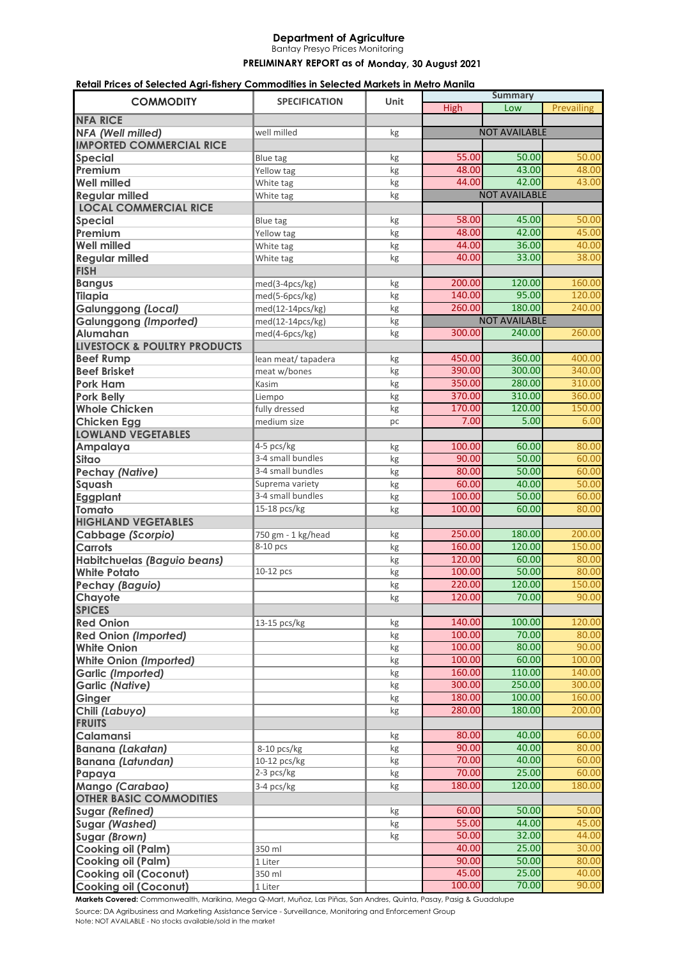## **Department of Agriculture**

Bantay Presyo Prices Monitoring

## PRELIMINARY REPORT as of Monday, 30 August 2021

## **Retail Prices of Selected Agri-fishery Commodities in Selected Markets in Metro Manila**

| <b>COMMODITY</b>                        | <b>SPECIFICATION</b> | Unit |                      | <b>Summary</b>       |            |
|-----------------------------------------|----------------------|------|----------------------|----------------------|------------|
|                                         |                      |      | <b>High</b>          | Low                  | Prevailing |
| <b>NFA RICE</b>                         |                      |      |                      |                      |            |
| NFA (Well milled)                       | well milled          | kg   | <b>NOT AVAILABLE</b> |                      |            |
| <b>IMPORTED COMMERCIAL RICE</b>         |                      |      |                      |                      |            |
| <b>Special</b>                          | <b>Blue tag</b>      | kg   | 55.00                | 50.00                | 50.00      |
| Premium                                 | Yellow tag           | kg   | 48.00                | 43.00                | 48.00      |
| <b>Well milled</b>                      | White tag            | kg   | 44.00                | 42.00                | 43.00      |
| <b>Regular milled</b>                   | White tag            | kg   |                      | <b>NOT AVAILABLE</b> |            |
| <b>LOCAL COMMERCIAL RICE</b>            |                      |      |                      |                      |            |
| Special                                 | <b>Blue tag</b>      | kg   | 58.00                | 45.00                | 50.00      |
| Premium                                 | Yellow tag           | kg   | 48.00                | 42.00                | 45.00      |
| <b>Well milled</b>                      | White tag            | kg   | 44.00                | 36.00                | 40.00      |
| <b>Regular milled</b>                   | White tag            | kg   | 40.00                | 33.00                | 38.00      |
| <b>FISH</b>                             |                      |      |                      |                      |            |
| <b>Bangus</b>                           | med(3-4pcs/kg)       | kg   | 200.00               | 120.00               | 160.00     |
| <b>Tilapia</b>                          | med(5-6pcs/kg)       | kg   | 140.00               | 95.00                | 120.00     |
| <b>Galunggong (Local)</b>               | med(12-14pcs/kg)     | kg   | 260.00               | 180.00               | 240.00     |
| <b>Galunggong (Imported)</b>            | med(12-14pcs/kg)     | kg   |                      | <b>NOT AVAILABLE</b> |            |
| Alumahan                                | med(4-6pcs/kg)       | kg   | 300.00               | 240.00               | 260.00     |
| <b>LIVESTOCK &amp; POULTRY PRODUCTS</b> |                      |      |                      |                      |            |
| <b>Beef Rump</b>                        | lean meat/ tapadera  | kg   | 450.00               | 360.00               | 400.00     |
| <b>Beef Brisket</b>                     | meat w/bones         | kg   | 390.00               | 300.00               | 340.00     |
| <b>Pork Ham</b>                         | Kasim                | kg   | 350.00               | 280.00               | 310.00     |
| <b>Pork Belly</b>                       | Liempo               | kg   | 370.00               | 310.00               | 360.00     |
| <b>Whole Chicken</b>                    | fully dressed        | kg   | 170.00               | 120.00               | 150.00     |
| <b>Chicken Egg</b>                      | medium size          | pc   | 7.00                 | 5.00                 | 6.00       |
| <b>LOWLAND VEGETABLES</b>               |                      |      |                      |                      |            |
| Ampalaya                                | 4-5 pcs/kg           | kg   | 100.00               | 60.00                | 80.00      |
| <b>Sitao</b>                            | 3-4 small bundles    | kg   | 90.00                | 50.00                | 60.00      |
| <b>Pechay (Native)</b>                  | 3-4 small bundles    | kg   | 80.00                | 50.00                | 60.00      |
| Squash                                  | Suprema variety      | kg   | 60.00                | 40.00                | 50.00      |
| <b>Eggplant</b>                         | 3-4 small bundles    | kg   | 100.00               | 50.00                | 60.00      |
| <b>Tomato</b>                           | 15-18 pcs/kg         | kg   | 100.00               | 60.00                | 80.00      |
| <b>HIGHLAND VEGETABLES</b>              |                      |      |                      |                      |            |
| <b>Cabbage (Scorpio)</b>                | 750 gm - 1 kg/head   | kg   | 250.00               | 180.00               | 200.00     |
| <b>Carrots</b>                          | 8-10 pcs             | kg   | 160.00               | 120.00               | 150.00     |
| Habitchuelas (Baguio beans)             |                      | kg   | 120.00               | 60.00                | 80.00      |
| <b>White Potato</b>                     | 10-12 pcs            | kg   | 100.00               | 50.00                | 80.00      |
| <b>Pechay (Baguio)</b>                  |                      | kg   | 220.00               | 120.00               | 150.00     |
| Chayote                                 |                      | kg   | 120.00               | 70.00                | 90.00      |
| <b>SPICES</b>                           |                      |      |                      |                      |            |
| <b>Red Onion</b>                        | 13-15 pcs/kg         | kg   | 140.00               | 100.00               | 120.00     |
| <b>Red Onion (Imported)</b>             |                      | kg   | 100.00               | 70.00                | 80.00      |
| <b>White Onion</b>                      |                      | kg   | 100.00               | 80.00                | 90.00      |
| <b>White Onion (Imported)</b>           |                      | kg   | 100.00               | 60.00                | 100.00     |
| <b>Garlic (Imported)</b>                |                      | kg   | 160.00               | 110.00               | 140.00     |
| <b>Garlic (Native)</b>                  |                      | kg   | 300.00               | 250.00               | 300.00     |
| Ginger                                  |                      | kg   | 180.00               | 100.00               | 160.00     |
| Chili (Labuyo)                          |                      | kg   | 280.00               | 180.00               | 200.00     |
| <b>FRUITS</b>                           |                      |      |                      |                      |            |
| Calamansi                               |                      | kg   | 80.00                | 40.00                | 60.00      |
| <b>Banana (Lakatan)</b>                 | 8-10 pcs/kg          | kg   | 90.00                | 40.00                | 80.00      |
| <b>Banana (Latundan)</b>                | 10-12 pcs/kg         | kg   | 70.00                | 40.00                | 60.00      |
| Papaya                                  | 2-3 pcs/kg           | kg   | 70.00                | 25.00                | 60.00      |
| Mango (Carabao)                         | 3-4 pcs/kg           | kg   | 180.00               | 120.00               | 180.00     |
| <b>OTHER BASIC COMMODITIES</b>          |                      |      |                      |                      |            |
| <b>Sugar (Refined)</b>                  |                      | kg   | 60.00                | 50.00                | 50.00      |
| <b>Sugar (Washed)</b>                   |                      | kg   | 55.00                | 44.00                | 45.00      |
| Sugar (Brown)                           |                      | kg   | 50.00                | 32.00                | 44.00      |
| <b>Cooking oil (Palm)</b>               | 350 ml               |      | 40.00                | 25.00                | 30.00      |
| <b>Cooking oil (Palm)</b>               | 1 Liter              |      | 90.00                | 50.00                | 80.00      |
| <b>Cooking oil (Coconut)</b>            | 350 ml               |      | 45.00                | 25.00                | 40.00      |
| <b>Cooking oil (Coconut)</b>            | 1 Liter              |      | 100.00               | 70.00                | 90.00      |

**Markets Covered:** Commonwealth, Marikina, Mega Q-Mart, Muñoz, Las Piñas, San Andres, Quinta, Pasay, Pasig & Guadalupe

Source: DA Agribusiness and Marketing Assistance Service - Surveillance, Monitoring and Enforcement Group Note: NOT AVAILABLE - No stocks available/sold in the market